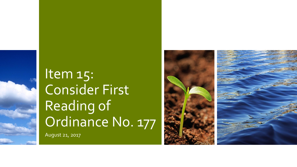

August 21, 2017

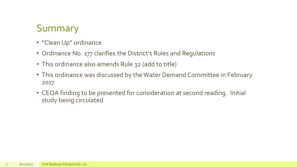### Summary

- "Clean Up" ordinance
- Ordinance No. 177 clarifies the District's Rules and Regulations
- This ordinance also amends Rule 32 (add to title)
- This ordinance was discussed by the Water Demand Committee in February 2017
- CEQA finding to be presented for consideration at second reading. Initial study being circulated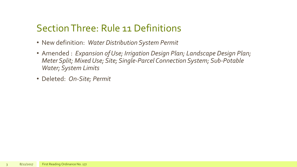### Section Three: Rule 11 Definitions

- New definition: *Water Distribution System Permit*
- Amended : *Expansion of Use; Irrigation Design Plan; Landscape Design Plan; Meter Split; Mixed Use; Site; Single-Parcel Connection System; Sub-Potable Water; System Limits*
- Deleted: *On-Site; Permit*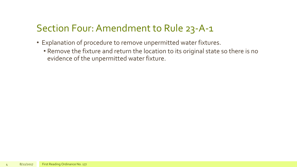# Section Four: Amendment to Rule 23-A-1

- Explanation of procedure to remove unpermitted water fixtures.
	- Remove the fixture and return the location to its original state so there is no evidence of the unpermitted water fixture.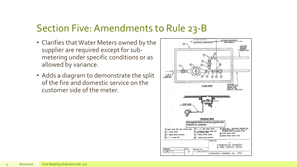#### Section Five: Amendments to Rule 23-B

- Clarifies that Water Meters owned by the supplier are required except for submetering under specific conditions or as allowed by variance.
- Adds a diagram to demonstrate the split of the fire and domestic service on the customer side of the meter.

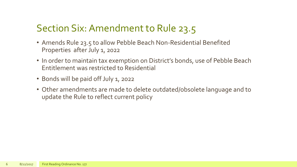## Section Six: Amendment to Rule 23.5

- Amends Rule 23.5 to allow Pebble Beach Non-Residential Benefited Properties after July 1, 2022
- In order to maintain tax exemption on District's bonds, use of Pebble Beach Entitlement was restricted to Residential
- Bonds will be paid off July 1, 2022
- Other amendments are made to delete outdated/obsolete language and to update the Rule to reflect current policy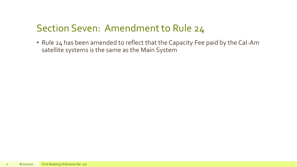### Section Seven: Amendment to Rule 24

• Rule 24 has been amended to reflect that the Capacity Fee paid by the Cal-Am satellite systems is the same as the Main System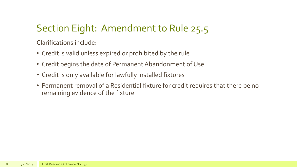# Section Eight: Amendment to Rule 25.5

Clarifications include:

- Credit is valid unless expired or prohibited by the rule
- Credit begins the date of Permanent Abandonment of Use
- Credit is only available for lawfully installed fixtures
- Permanent removal of a Residential fixture for credit requires that there be no remaining evidence of the fixture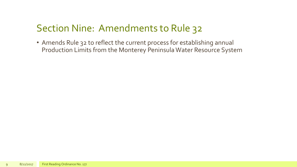## Section Nine: Amendments to Rule 32

• Amends Rule 32 to reflect the current process for establishing annual Production Limits from the Monterey Peninsula Water Resource System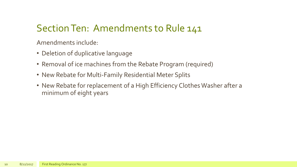## Section Ten: Amendments to Rule 141

Amendments include:

- Deletion of duplicative language
- Removal of ice machines from the Rebate Program (required)
- New Rebate for Multi-Family Residential Meter Splits
- New Rebate for replacement of a High Efficiency Clothes Washer after a minimum of eight years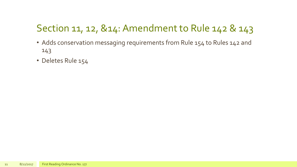# Section 11, 12, &14: Amendment to Rule 142 & 143

- Adds conservation messaging requirements from Rule 154 to Rules 142 and 143
- Deletes Rule 154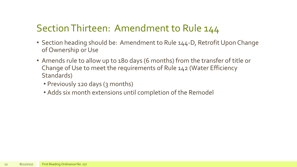### Section Thirteen: Amendment to Rule 144

- Section heading should be: Amendment to Rule 144-D, Retrofit Upon Change of Ownership or Use
- Amends rule to allow up to 180 days (6 months) from the transfer of title or Change of Use to meet the requirements of Rule 142 (Water Efficiency Standards)
	- Previously 120 days (3 months)
	- Adds six month extensions until completion of the Remodel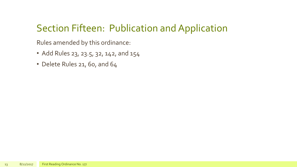## Section Fifteen: Publication and Application

Rules amended by this ordinance:

- Add Rules 23, 23.5, 32, 142, and 154
- Delete Rules 21, 60, and 64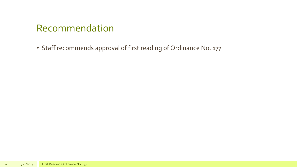### Recommendation

• Staff recommends approval of first reading of Ordinance No. 177